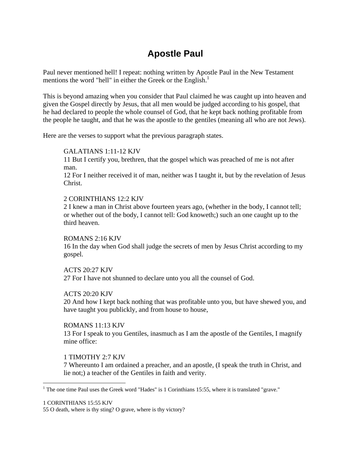# **Apostle Paul**

Paul never mentioned hell! I repeat: nothing written by Apostle Paul in the New Testament mentions the word "hell" in either the Greek or the English.<sup>1</sup>

This is beyond amazing when you consider that Paul claimed he was caught up into heaven and given the Gospel directly by Jesus, that all men would be judged according to his gospel, that he had declared to people the whole counsel of God, that he kept back nothing profitable from the people he taught, and that he was the apostle to the gentiles (meaning all who are not Jews).

Here are the verses to support what the previous paragraph states.

# GALATIANS 1:11-12 KJV

11 But I certify you, brethren, that the gospel which was preached of me is not after man.

12 For I neither received it of man, neither was I taught it, but by the revelation of Jesus Christ.

#### 2 CORINTHIANS 12:2 KJV

2 I knew a man in Christ above fourteen years ago, (whether in the body, I cannot tell; or whether out of the body, I cannot tell: God knoweth;) such an one caught up to the third heaven.

#### ROMANS 2:16 KJV

16 In the day when God shall judge the secrets of men by Jesus Christ according to my gospel.

#### ACTS 20:27 KJV

27 For I have not shunned to declare unto you all the counsel of God.

# ACTS 20:20 KJV

20 And how I kept back nothing that was profitable unto you, but have shewed you, and have taught you publickly, and from house to house,

# ROMANS 11:13 KJV

13 For I speak to you Gentiles, inasmuch as I am the apostle of the Gentiles, I magnify mine office:

# 1 TIMOTHY 2:7 KJV

7 Whereunto I am ordained a preacher, and an apostle, (I speak the truth in Christ, and lie not;) a teacher of the Gentiles in faith and verity.

<sup>&</sup>lt;sup>1</sup> The one time Paul uses the Greek word "Hades" is 1 Corinthians 15:55, where it is translated "grave."

<sup>1</sup> CORINTHIANS 15:55 KJV

<sup>55</sup> O death, where is thy sting? O grave, where is thy victory?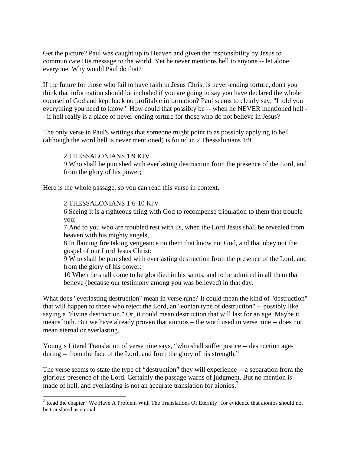Get the picture? Paul was caught up to Heaven and given the responsibility by Jesus to communicate His message to the world. Yet he never mentions hell to anyone -- let alone everyone. Why would Paul do that?

If the future for those who fail to have faith in Jesus Christ is never-ending torture, don't you think that information should be included if you are going to say you have declared the whole counsel of God and kept back no profitable information? Paul seems to clearly say, "I told you everything you need to know." How could that possibly be -- when he NEVER mentioned hell - - if hell really is a place of never-ending torture for those who do not believe in Jesus?

The only verse in Paul's writings that someone might point to as possibly applying to hell (although the word hell is never mentioned) is found in 2 Thessalonians 1:9.

2 THESSALONIANS 1:9 KJV

9 Who shall be punished with everlasting destruction from the presence of the Lord, and from the glory of his power;

Here is the whole passage, so you can read this verse in context.

#### 2 THESSALONIANS 1:6-10 KJV

6 Seeing it is a righteous thing with God to recompense tribulation to them that trouble you;

7 And to you who are troubled rest with us, when the Lord Jesus shall be revealed from heaven with his mighty angels,

8 In flaming fire taking vengeance on them that know not God, and that obey not the gospel of our Lord Jesus Christ:

9 Who shall be punished with everlasting destruction from the presence of the Lord, and from the glory of his power;

10 When he shall come to be glorified in his saints, and to be admired in all them that believe (because our testimony among you was believed) in that day.

What does "everlasting destruction" mean in verse nine? It could mean the kind of "destruction" that will happen to those who reject the Lord, an "eonian type of destruction" -- possibly like saying a "divine destruction." Or, it could mean destruction that will last for an age. Maybe it means both. But we have already proven that aionios – the word used in verse nine -- does not mean eternal or everlasting.

Young's Literal Translation of verse nine says, "who shall suffer justice -- destruction ageduring -- from the face of the Lord, and from the glory of his strength."

The verse seems to state the type of "destruction" they will experience -- a separation from the glorious presence of the Lord. Certainly the passage warns of judgment. But no mention is made of hell, and everlasting is not an accurate translation for aionios.<sup>2</sup>

<sup>&</sup>lt;sup>2</sup> Read the chapter "We Have A Problem With The Translations Of Eternity" for evidence that aionios should not be translated as eternal.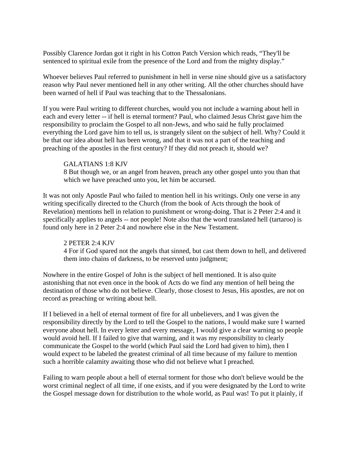Possibly Clarence Jordan got it right in his Cotton Patch Version which reads, "They'll be sentenced to spiritual exile from the presence of the Lord and from the mighty display."

Whoever believes Paul referred to punishment in hell in verse nine should give us a satisfactory reason why Paul never mentioned hell in any other writing. All the other churches should have been warned of hell if Paul was teaching that to the Thessalonians.

If you were Paul writing to different churches, would you not include a warning about hell in each and every letter -- if hell is eternal torment? Paul, who claimed Jesus Christ gave him the responsibility to proclaim the Gospel to all non-Jews, and who said he fully proclaimed everything the Lord gave him to tell us, is strangely silent on the subject of hell. Why? Could it be that our idea about hell has been wrong, and that it was not a part of the teaching and preaching of the apostles in the first century? If they did not preach it, should we?

#### GALATIANS 1:8 KJV

8 But though we, or an angel from heaven, preach any other gospel unto you than that which we have preached unto you, let him be accursed.

It was not only Apostle Paul who failed to mention hell in his writings. Only one verse in any writing specifically directed to the Church (from the book of Acts through the book of Revelation) mentions hell in relation to punishment or wrong-doing. That is 2 Peter 2:4 and it specifically applies to angels -- not people! Note also that the word translated hell (tartaroo) is found only here in 2 Peter 2:4 and nowhere else in the New Testament.

# 2 PETER 2:4 KJV

4 For if God spared not the angels that sinned, but cast them down to hell, and delivered them into chains of darkness, to be reserved unto judgment;

Nowhere in the entire Gospel of John is the subject of hell mentioned. It is also quite astonishing that not even once in the book of Acts do we find any mention of hell being the destination of those who do not believe. Clearly, those closest to Jesus, His apostles, are not on record as preaching or writing about hell.

If I believed in a hell of eternal torment of fire for all unbelievers, and I was given the responsibility directly by the Lord to tell the Gospel to the nations, I would make sure I warned everyone about hell. In every letter and every message, I would give a clear warning so people would avoid hell. If I failed to give that warning, and it was my responsibility to clearly communicate the Gospel to the world (which Paul said the Lord had given to him), then I would expect to be labeled the greatest criminal of all time because of my failure to mention such a horrible calamity awaiting those who did not believe what I preached.

Failing to warn people about a hell of eternal torment for those who don't believe would be the worst criminal neglect of all time, if one exists, and if you were designated by the Lord to write the Gospel message down for distribution to the whole world, as Paul was! To put it plainly, if